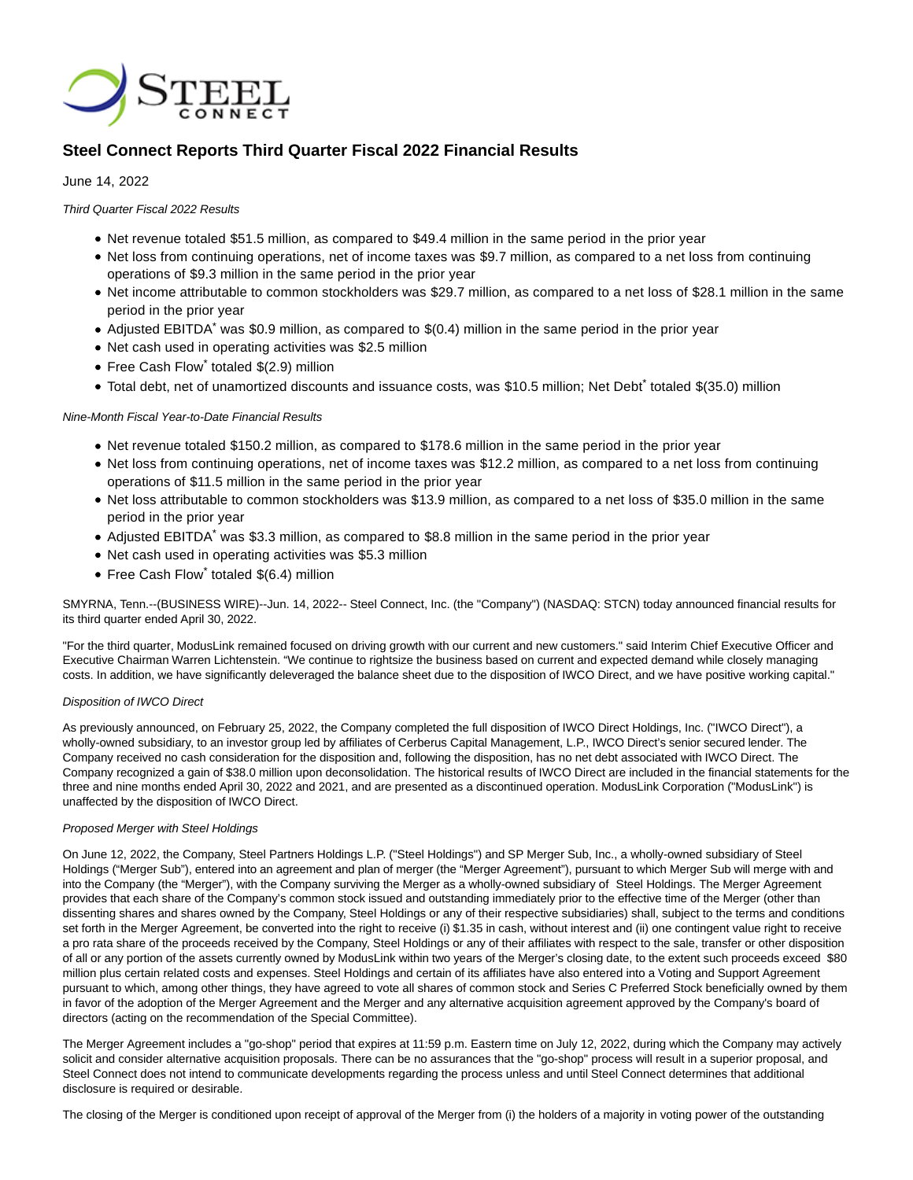

# **Steel Connect Reports Third Quarter Fiscal 2022 Financial Results**

### June 14, 2022

Third Quarter Fiscal 2022 Results

- Net revenue totaled \$51.5 million, as compared to \$49.4 million in the same period in the prior year
- Net loss from continuing operations, net of income taxes was \$9.7 million, as compared to a net loss from continuing operations of \$9.3 million in the same period in the prior year
- Net income attributable to common stockholders was \$29.7 million, as compared to a net loss of \$28.1 million in the same period in the prior year
- Adjusted EBITDA\* was \$0.9 million, as compared to \$(0.4) million in the same period in the prior year
- Net cash used in operating activities was \$2.5 million
- Free Cash Flow\* totaled \$(2.9) million
- Total debt, net of unamortized discounts and issuance costs, was \$10.5 million; Net Debt<sup>\*</sup> totaled \$(35.0) million

### Nine-Month Fiscal Year-to-Date Financial Results

- Net revenue totaled \$150.2 million, as compared to \$178.6 million in the same period in the prior year
- Net loss from continuing operations, net of income taxes was \$12.2 million, as compared to a net loss from continuing operations of \$11.5 million in the same period in the prior year
- Net loss attributable to common stockholders was \$13.9 million, as compared to a net loss of \$35.0 million in the same period in the prior year
- Adjusted EBITDA\* was \$3.3 million, as compared to \$8.8 million in the same period in the prior year
- Net cash used in operating activities was \$5.3 million
- Free Cash Flow\* totaled \$(6.4) million

SMYRNA, Tenn.--(BUSINESS WIRE)--Jun. 14, 2022-- Steel Connect, Inc. (the "Company") (NASDAQ: STCN) today announced financial results for its third quarter ended April 30, 2022.

"For the third quarter, ModusLink remained focused on driving growth with our current and new customers." said Interim Chief Executive Officer and Executive Chairman Warren Lichtenstein. "We continue to rightsize the business based on current and expected demand while closely managing costs. In addition, we have significantly deleveraged the balance sheet due to the disposition of IWCO Direct, and we have positive working capital."

### Disposition of IWCO Direct

As previously announced, on February 25, 2022, the Company completed the full disposition of IWCO Direct Holdings, Inc. ("IWCO Direct"), a wholly-owned subsidiary, to an investor group led by affiliates of Cerberus Capital Management, L.P., IWCO Direct's senior secured lender. The Company received no cash consideration for the disposition and, following the disposition, has no net debt associated with IWCO Direct. The Company recognized a gain of \$38.0 million upon deconsolidation. The historical results of IWCO Direct are included in the financial statements for the three and nine months ended April 30, 2022 and 2021, and are presented as a discontinued operation. ModusLink Corporation ("ModusLink") is unaffected by the disposition of IWCO Direct.

### Proposed Merger with Steel Holdings

On June 12, 2022, the Company, Steel Partners Holdings L.P. ("Steel Holdings") and SP Merger Sub, Inc., a wholly-owned subsidiary of Steel Holdings ("Merger Sub"), entered into an agreement and plan of merger (the "Merger Agreement"), pursuant to which Merger Sub will merge with and into the Company (the "Merger"), with the Company surviving the Merger as a wholly-owned subsidiary of Steel Holdings. The Merger Agreement provides that each share of the Company's common stock issued and outstanding immediately prior to the effective time of the Merger (other than dissenting shares and shares owned by the Company, Steel Holdings or any of their respective subsidiaries) shall, subject to the terms and conditions set forth in the Merger Agreement, be converted into the right to receive (i) \$1.35 in cash, without interest and (ii) one contingent value right to receive a pro rata share of the proceeds received by the Company, Steel Holdings or any of their affiliates with respect to the sale, transfer or other disposition of all or any portion of the assets currently owned by ModusLink within two years of the Merger's closing date, to the extent such proceeds exceed \$80 million plus certain related costs and expenses. Steel Holdings and certain of its affiliates have also entered into a Voting and Support Agreement pursuant to which, among other things, they have agreed to vote all shares of common stock and Series C Preferred Stock beneficially owned by them in favor of the adoption of the Merger Agreement and the Merger and any alternative acquisition agreement approved by the Company's board of directors (acting on the recommendation of the Special Committee).

The Merger Agreement includes a "go-shop" period that expires at 11:59 p.m. Eastern time on July 12, 2022, during which the Company may actively solicit and consider alternative acquisition proposals. There can be no assurances that the "go-shop" process will result in a superior proposal, and Steel Connect does not intend to communicate developments regarding the process unless and until Steel Connect determines that additional disclosure is required or desirable.

The closing of the Merger is conditioned upon receipt of approval of the Merger from (i) the holders of a majority in voting power of the outstanding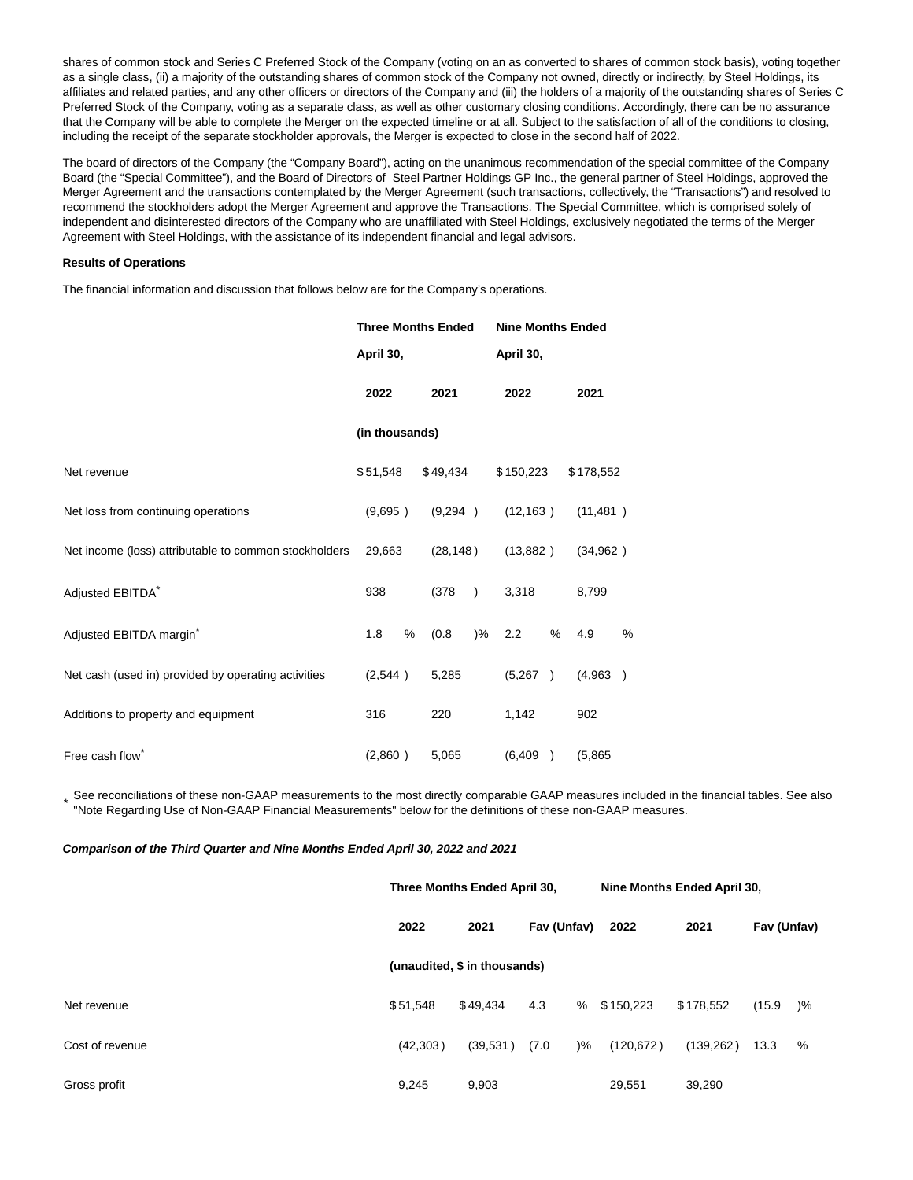shares of common stock and Series C Preferred Stock of the Company (voting on an as converted to shares of common stock basis), voting together as a single class, (ii) a majority of the outstanding shares of common stock of the Company not owned, directly or indirectly, by Steel Holdings, its affiliates and related parties, and any other officers or directors of the Company and (iii) the holders of a majority of the outstanding shares of Series C Preferred Stock of the Company, voting as a separate class, as well as other customary closing conditions. Accordingly, there can be no assurance that the Company will be able to complete the Merger on the expected timeline or at all. Subject to the satisfaction of all of the conditions to closing, including the receipt of the separate stockholder approvals, the Merger is expected to close in the second half of 2022.

The board of directors of the Company (the "Company Board"), acting on the unanimous recommendation of the special committee of the Company Board (the "Special Committee"), and the Board of Directors of Steel Partner Holdings GP Inc., the general partner of Steel Holdings, approved the Merger Agreement and the transactions contemplated by the Merger Agreement (such transactions, collectively, the "Transactions") and resolved to recommend the stockholders adopt the Merger Agreement and approve the Transactions. The Special Committee, which is comprised solely of independent and disinterested directors of the Company who are unaffiliated with Steel Holdings, exclusively negotiated the terms of the Merger Agreement with Steel Holdings, with the assistance of its independent financial and legal advisors.

#### **Results of Operations**

The financial information and discussion that follows below are for the Company's operations.

|                                                       | <b>Three Months Ended</b> |           |           | <b>Nine Months Ended</b> |           |   |           |               |  |
|-------------------------------------------------------|---------------------------|-----------|-----------|--------------------------|-----------|---|-----------|---------------|--|
|                                                       |                           | April 30, |           | April 30,                |           |   |           |               |  |
|                                                       | 2022                      |           | 2021      |                          | 2022      |   | 2021      |               |  |
|                                                       | (in thousands)            |           |           |                          |           |   |           |               |  |
| Net revenue                                           | \$51,548                  |           | \$49,434  |                          | \$150,223 |   | \$178,552 |               |  |
| Net loss from continuing operations                   | (9,695)                   |           | (9,294)   |                          | (12, 163) |   | (11, 481) |               |  |
| Net income (loss) attributable to common stockholders | 29,663                    |           | (28, 148) |                          | (13,882)  |   | (34,962)  |               |  |
| Adjusted EBITDA*                                      | 938                       |           | (378)     | $\rightarrow$            | 3,318     |   | 8,799     |               |  |
| Adjusted EBITDA margin <sup>*</sup>                   | 1.8                       | %         | (0.8)     | $\frac{9}{6}$            | 2.2       | % | 4.9       | %             |  |
| Net cash (used in) provided by operating activities   | (2,544)                   |           | 5,285     |                          | (5,267)   |   | (4,963)   | $\rightarrow$ |  |
| Additions to property and equipment                   | 316                       |           | 220       |                          | 1,142     |   | 902       |               |  |
| Free cash flow <sup>®</sup>                           | (2,860)                   |           | 5,065     |                          | (6, 409)  |   | (5,865)   |               |  |

\* See reconciliations of these non-GAAP measurements to the most directly comparable GAAP measures included in the financial tables. See also "Note Regarding Use of Non-GAAP Financial Measurements" below for the definitions of these non-GAAP measures.

#### **Comparison of the Third Quarter and Nine Months Ended April 30, 2022 and 2021**

|                              | Three Months Ended April 30, |                     |                        | Nine Months Ended April 30, |           |             |               |  |  |  |  |
|------------------------------|------------------------------|---------------------|------------------------|-----------------------------|-----------|-------------|---------------|--|--|--|--|
|                              | 2022                         | Fav (Unfav)<br>2021 |                        | 2022                        | 2021      | Fav (Unfav) |               |  |  |  |  |
| (unaudited, \$ in thousands) |                              |                     |                        |                             |           |             |               |  |  |  |  |
| Net revenue                  | \$51.548                     | \$49,434            | 4.3                    | % \$150,223                 | \$178.552 | (15.9)      | $\frac{9}{6}$ |  |  |  |  |
| Cost of revenue              | (42, 303)                    | (39,531)            | (7.0)<br>$\frac{9}{6}$ | (120, 672)                  | (139,262) | 13.3        | %             |  |  |  |  |
| Gross profit                 | 9,245                        | 9,903               |                        | 29,551                      | 39,290    |             |               |  |  |  |  |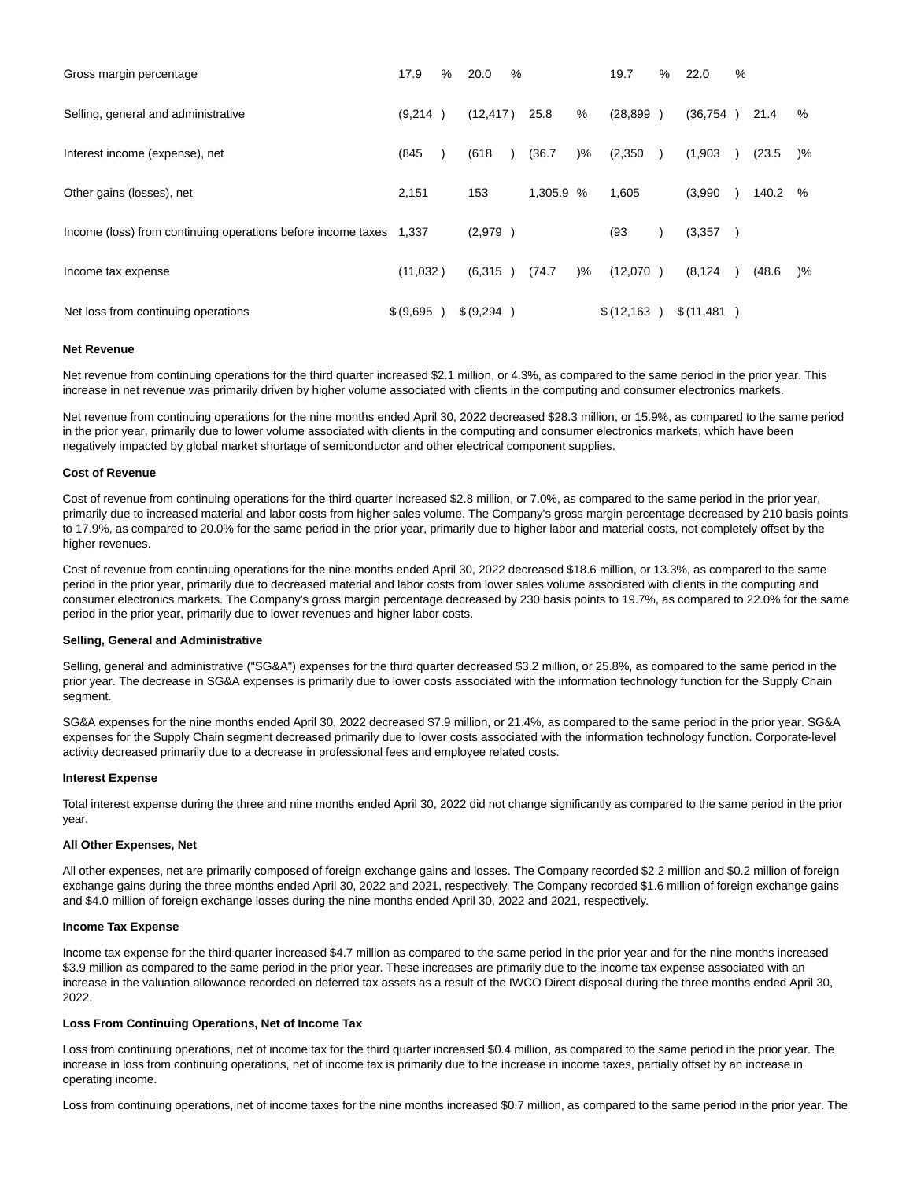| Gross margin percentage                                            | 17.9       | % | 20.0       | % |           |               | 19.7        | $\%$          | 22.0        | % |        |        |
|--------------------------------------------------------------------|------------|---|------------|---|-----------|---------------|-------------|---------------|-------------|---|--------|--------|
| Selling, general and administrative                                | (9,214)    |   | (12, 417)  |   | 25.8      | %             | (28, 899)   | $\rightarrow$ | (36, 754)   |   | 21.4   | %      |
| Interest income (expense), net                                     | (845)      |   | (618)      |   | (36.7     | $)\%$         | (2,350)     |               | (1,903)     |   | (23.5) | )%     |
| Other gains (losses), net                                          | 2,151      |   | 153        |   | 1,305.9 % |               | 1,605       |               | (3,990)     |   | 140.2  | %      |
| Income (loss) from continuing operations before income taxes 1,337 |            |   | (2,979)    |   |           |               | (93)        |               | (3,357)     |   |        |        |
| Income tax expense                                                 | (11,032)   |   | (6, 315)   |   | (74.7)    | $\frac{9}{6}$ | (12,070)    |               | (8, 124)    |   | (48.6) | $) \%$ |
| Net loss from continuing operations                                | \$ (9,695) |   | \$ (9,294) |   |           |               | \$(12, 163) |               | \$(11, 481) |   |        |        |

#### **Net Revenue**

Net revenue from continuing operations for the third quarter increased \$2.1 million, or 4.3%, as compared to the same period in the prior year. This increase in net revenue was primarily driven by higher volume associated with clients in the computing and consumer electronics markets.

Net revenue from continuing operations for the nine months ended April 30, 2022 decreased \$28.3 million, or 15.9%, as compared to the same period in the prior year, primarily due to lower volume associated with clients in the computing and consumer electronics markets, which have been negatively impacted by global market shortage of semiconductor and other electrical component supplies.

#### **Cost of Revenue**

Cost of revenue from continuing operations for the third quarter increased \$2.8 million, or 7.0%, as compared to the same period in the prior year, primarily due to increased material and labor costs from higher sales volume. The Company's gross margin percentage decreased by 210 basis points to 17.9%, as compared to 20.0% for the same period in the prior year, primarily due to higher labor and material costs, not completely offset by the higher revenues.

Cost of revenue from continuing operations for the nine months ended April 30, 2022 decreased \$18.6 million, or 13.3%, as compared to the same period in the prior year, primarily due to decreased material and labor costs from lower sales volume associated with clients in the computing and consumer electronics markets. The Company's gross margin percentage decreased by 230 basis points to 19.7%, as compared to 22.0% for the same period in the prior year, primarily due to lower revenues and higher labor costs.

#### **Selling, General and Administrative**

Selling, general and administrative ("SG&A") expenses for the third quarter decreased \$3.2 million, or 25.8%, as compared to the same period in the prior year. The decrease in SG&A expenses is primarily due to lower costs associated with the information technology function for the Supply Chain segment.

SG&A expenses for the nine months ended April 30, 2022 decreased \$7.9 million, or 21.4%, as compared to the same period in the prior year. SG&A expenses for the Supply Chain segment decreased primarily due to lower costs associated with the information technology function. Corporate-level activity decreased primarily due to a decrease in professional fees and employee related costs.

#### **Interest Expense**

Total interest expense during the three and nine months ended April 30, 2022 did not change significantly as compared to the same period in the prior year.

#### **All Other Expenses, Net**

All other expenses, net are primarily composed of foreign exchange gains and losses. The Company recorded \$2.2 million and \$0.2 million of foreign exchange gains during the three months ended April 30, 2022 and 2021, respectively. The Company recorded \$1.6 million of foreign exchange gains and \$4.0 million of foreign exchange losses during the nine months ended April 30, 2022 and 2021, respectively.

#### **Income Tax Expense**

Income tax expense for the third quarter increased \$4.7 million as compared to the same period in the prior year and for the nine months increased \$3.9 million as compared to the same period in the prior year. These increases are primarily due to the income tax expense associated with an increase in the valuation allowance recorded on deferred tax assets as a result of the IWCO Direct disposal during the three months ended April 30, 2022.

#### **Loss From Continuing Operations, Net of Income Tax**

Loss from continuing operations, net of income tax for the third quarter increased \$0.4 million, as compared to the same period in the prior year. The increase in loss from continuing operations, net of income tax is primarily due to the increase in income taxes, partially offset by an increase in operating income.

Loss from continuing operations, net of income taxes for the nine months increased \$0.7 million, as compared to the same period in the prior year. The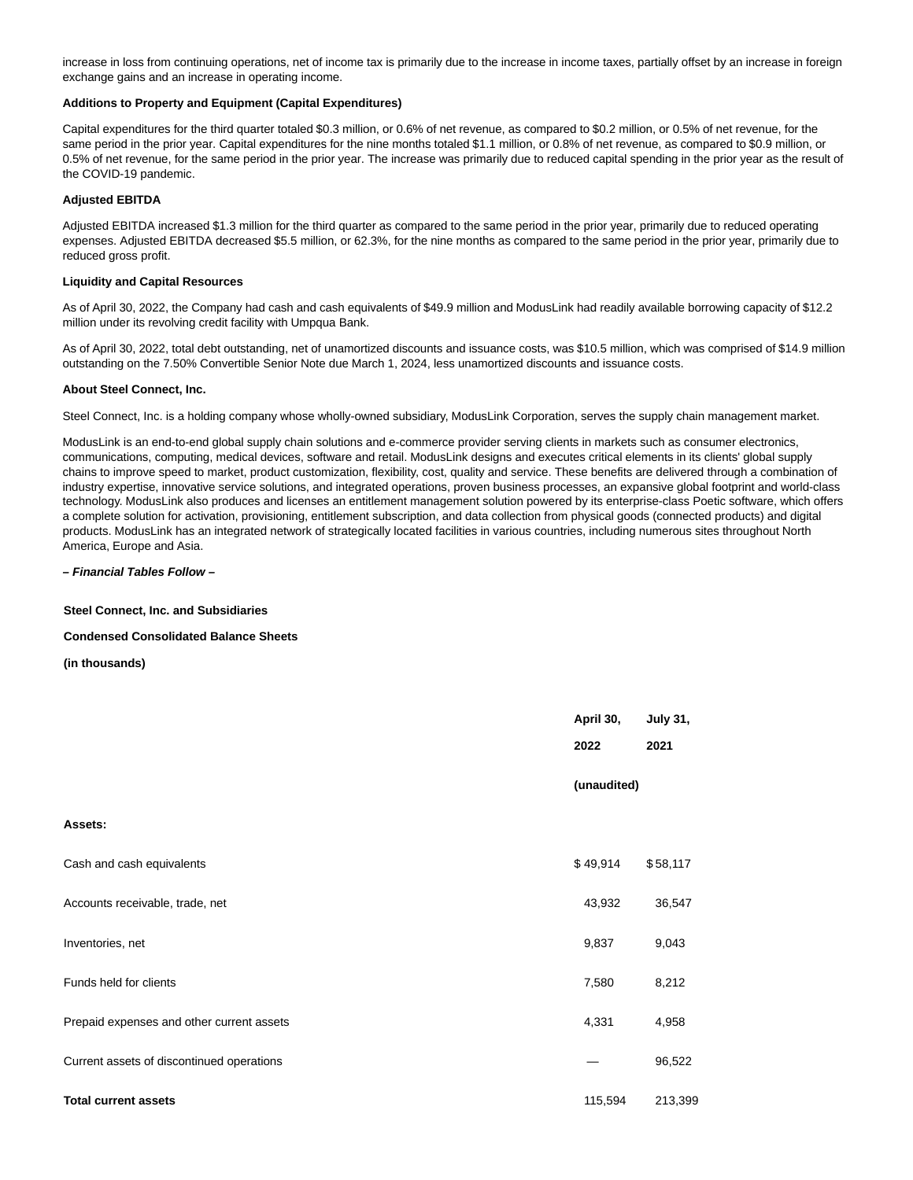increase in loss from continuing operations, net of income tax is primarily due to the increase in income taxes, partially offset by an increase in foreign exchange gains and an increase in operating income.

#### **Additions to Property and Equipment (Capital Expenditures)**

Capital expenditures for the third quarter totaled \$0.3 million, or 0.6% of net revenue, as compared to \$0.2 million, or 0.5% of net revenue, for the same period in the prior year. Capital expenditures for the nine months totaled \$1.1 million, or 0.8% of net revenue, as compared to \$0.9 million, or 0.5% of net revenue, for the same period in the prior year. The increase was primarily due to reduced capital spending in the prior year as the result of the COVID-19 pandemic.

#### **Adjusted EBITDA**

Adjusted EBITDA increased \$1.3 million for the third quarter as compared to the same period in the prior year, primarily due to reduced operating expenses. Adjusted EBITDA decreased \$5.5 million, or 62.3%, for the nine months as compared to the same period in the prior year, primarily due to reduced gross profit.

#### **Liquidity and Capital Resources**

As of April 30, 2022, the Company had cash and cash equivalents of \$49.9 million and ModusLink had readily available borrowing capacity of \$12.2 million under its revolving credit facility with Umpqua Bank.

As of April 30, 2022, total debt outstanding, net of unamortized discounts and issuance costs, was \$10.5 million, which was comprised of \$14.9 million outstanding on the 7.50% Convertible Senior Note due March 1, 2024, less unamortized discounts and issuance costs.

#### **About Steel Connect, Inc.**

Steel Connect, Inc. is a holding company whose wholly-owned subsidiary, ModusLink Corporation, serves the supply chain management market.

ModusLink is an end-to-end global supply chain solutions and e-commerce provider serving clients in markets such as consumer electronics, communications, computing, medical devices, software and retail. ModusLink designs and executes critical elements in its clients' global supply chains to improve speed to market, product customization, flexibility, cost, quality and service. These benefits are delivered through a combination of industry expertise, innovative service solutions, and integrated operations, proven business processes, an expansive global footprint and world-class technology. ModusLink also produces and licenses an entitlement management solution powered by its enterprise-class Poetic software, which offers a complete solution for activation, provisioning, entitlement subscription, and data collection from physical goods (connected products) and digital products. ModusLink has an integrated network of strategically located facilities in various countries, including numerous sites throughout North America, Europe and Asia.

#### **– Financial Tables Follow –**

#### **Steel Connect, Inc. and Subsidiaries**

#### **Condensed Consolidated Balance Sheets**

**(in thousands)**

|                                           | April 30,   | <b>July 31,</b> |
|-------------------------------------------|-------------|-----------------|
|                                           | 2022        | 2021            |
|                                           | (unaudited) |                 |
| Assets:                                   |             |                 |
| Cash and cash equivalents                 | \$49,914    | \$58,117        |
| Accounts receivable, trade, net           | 43,932      | 36,547          |
| Inventories, net                          | 9,837       | 9,043           |
| Funds held for clients                    | 7,580       | 8,212           |
| Prepaid expenses and other current assets | 4,331       | 4,958           |
| Current assets of discontinued operations |             | 96,522          |
| <b>Total current assets</b>               | 115,594     | 213,399         |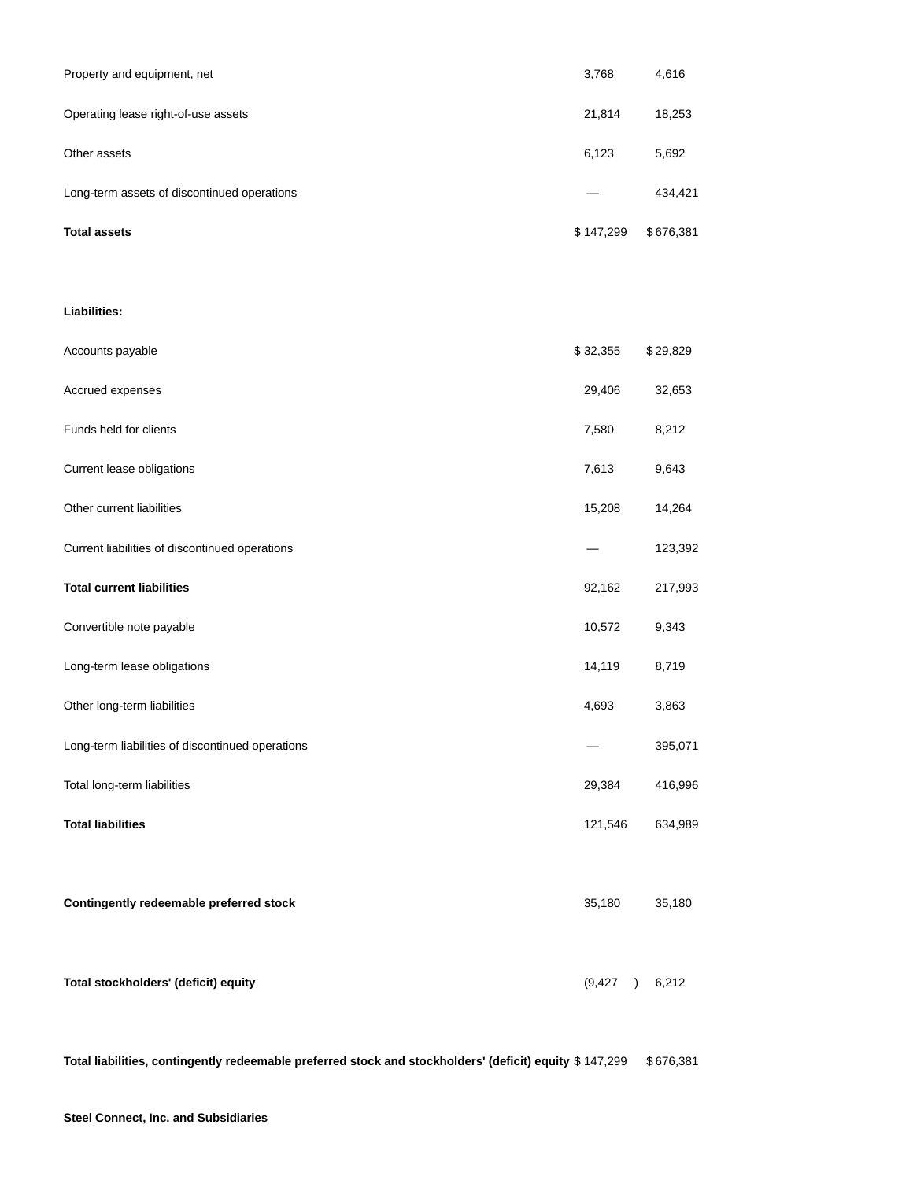| Property and equipment, net                 | 3,768     | 4,616     |
|---------------------------------------------|-----------|-----------|
| Operating lease right-of-use assets         | 21,814    | 18,253    |
| Other assets                                | 6,123     | 5,692     |
| Long-term assets of discontinued operations |           | 434,421   |
| <b>Total assets</b>                         | \$147,299 | \$676,381 |

### **Liabilities:**

| Accounts payable                                 | \$32,355              | \$29,829 |
|--------------------------------------------------|-----------------------|----------|
| Accrued expenses                                 | 29,406                | 32,653   |
| Funds held for clients                           | 7,580                 | 8,212    |
| Current lease obligations                        | 7,613                 | 9,643    |
| Other current liabilities                        | 15,208                | 14,264   |
| Current liabilities of discontinued operations   |                       | 123,392  |
| <b>Total current liabilities</b>                 | 92,162                | 217,993  |
| Convertible note payable                         | 10,572                | 9,343    |
| Long-term lease obligations                      | 14,119                | 8,719    |
| Other long-term liabilities                      | 4,693                 | 3,863    |
| Long-term liabilities of discontinued operations |                       | 395,071  |
| Total long-term liabilities                      | 29,384                | 416,996  |
| <b>Total liabilities</b>                         | 121,546               | 634,989  |
|                                                  |                       |          |
| Contingently redeemable preferred stock          | 35,180                | 35,180   |
|                                                  |                       |          |
| Total stockholders' (deficit) equity             | (9, 427)<br>$\lambda$ | 6,212    |

**Total liabilities, contingently redeemable preferred stock and stockholders' (deficit) equity** \$ 147,299 \$ 676,381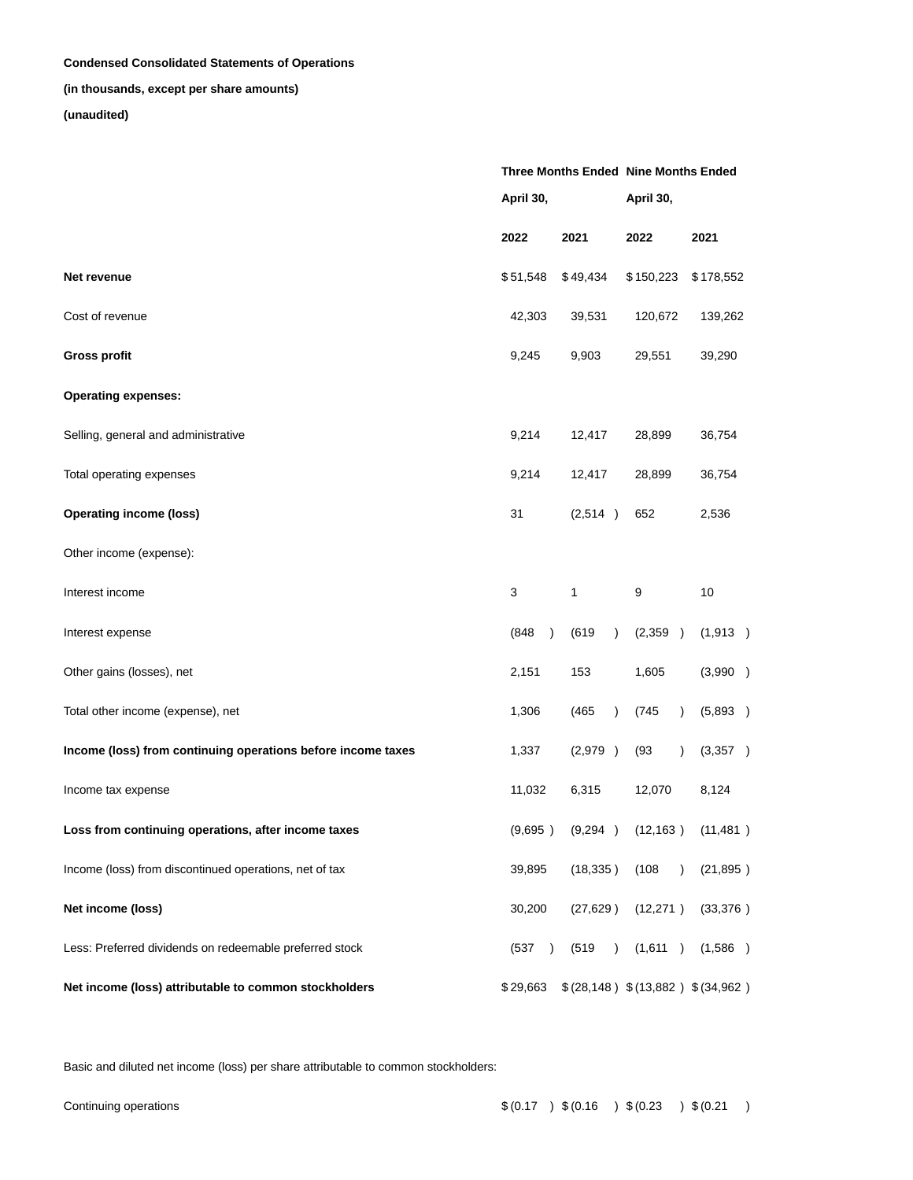### **Condensed Consolidated Statements of Operations**

## **(in thousands, except per share amounts)**

## **(unaudited)**

|                                                              |                       |                    | Three Months Ended Nine Months Ended |                                     |  |  |  |
|--------------------------------------------------------------|-----------------------|--------------------|--------------------------------------|-------------------------------------|--|--|--|
|                                                              | April 30,             |                    | April 30,                            |                                     |  |  |  |
|                                                              | 2022                  | 2021               | 2022                                 | 2021                                |  |  |  |
| Net revenue                                                  | \$51,548              | \$49,434           | \$150,223                            | \$178,552                           |  |  |  |
| Cost of revenue                                              | 42,303                | 39,531             | 120,672                              | 139,262                             |  |  |  |
| <b>Gross profit</b>                                          | 9,245                 | 9,903              | 29,551                               | 39,290                              |  |  |  |
| <b>Operating expenses:</b>                                   |                       |                    |                                      |                                     |  |  |  |
| Selling, general and administrative                          | 9,214                 | 12,417             | 28,899                               | 36,754                              |  |  |  |
| Total operating expenses                                     | 9,214                 | 12,417             | 28,899                               | 36,754                              |  |  |  |
| <b>Operating income (loss)</b>                               | 31                    | (2,514)            | 652                                  | 2,536                               |  |  |  |
| Other income (expense):                                      |                       |                    |                                      |                                     |  |  |  |
| Interest income                                              | 3                     | 1                  | 9                                    | 10                                  |  |  |  |
| Interest expense                                             | (848)<br>$\lambda$    | (619)<br>$\lambda$ | (2,359)                              | (1,913)                             |  |  |  |
| Other gains (losses), net                                    | 2,151                 | 153                | 1,605                                | (3,990)                             |  |  |  |
| Total other income (expense), net                            | 1,306                 | (465)<br>$\lambda$ | (745)<br>$\lambda$                   | (5,893)                             |  |  |  |
| Income (loss) from continuing operations before income taxes | 1,337                 | (2,979)            | (93)<br>$\lambda$                    | (3,357)                             |  |  |  |
| Income tax expense                                           | 11,032                | 6,315              | 12,070                               | 8,124                               |  |  |  |
| Loss from continuing operations, after income taxes          | (9,695)               |                    |                                      | $(9,294)$ $(12,163)$ $(11,481)$     |  |  |  |
| Income (loss) from discontinued operations, net of tax       | 39,895                | (18, 335)          | (108)<br>$\lambda$                   | (21, 895)                           |  |  |  |
| Net income (loss)                                            | 30,200                | (27, 629)          | (12, 271)                            | (33,376)                            |  |  |  |
| Less: Preferred dividends on redeemable preferred stock      | (537<br>$\rightarrow$ | (519)<br>$\lambda$ | (1,611)                              | (1,586)                             |  |  |  |
| Net income (loss) attributable to common stockholders        | \$29,663              |                    |                                      | \$(28,148) \$((13,882) \$((34,962)) |  |  |  |

Basic and diluted net income (loss) per share attributable to common stockholders: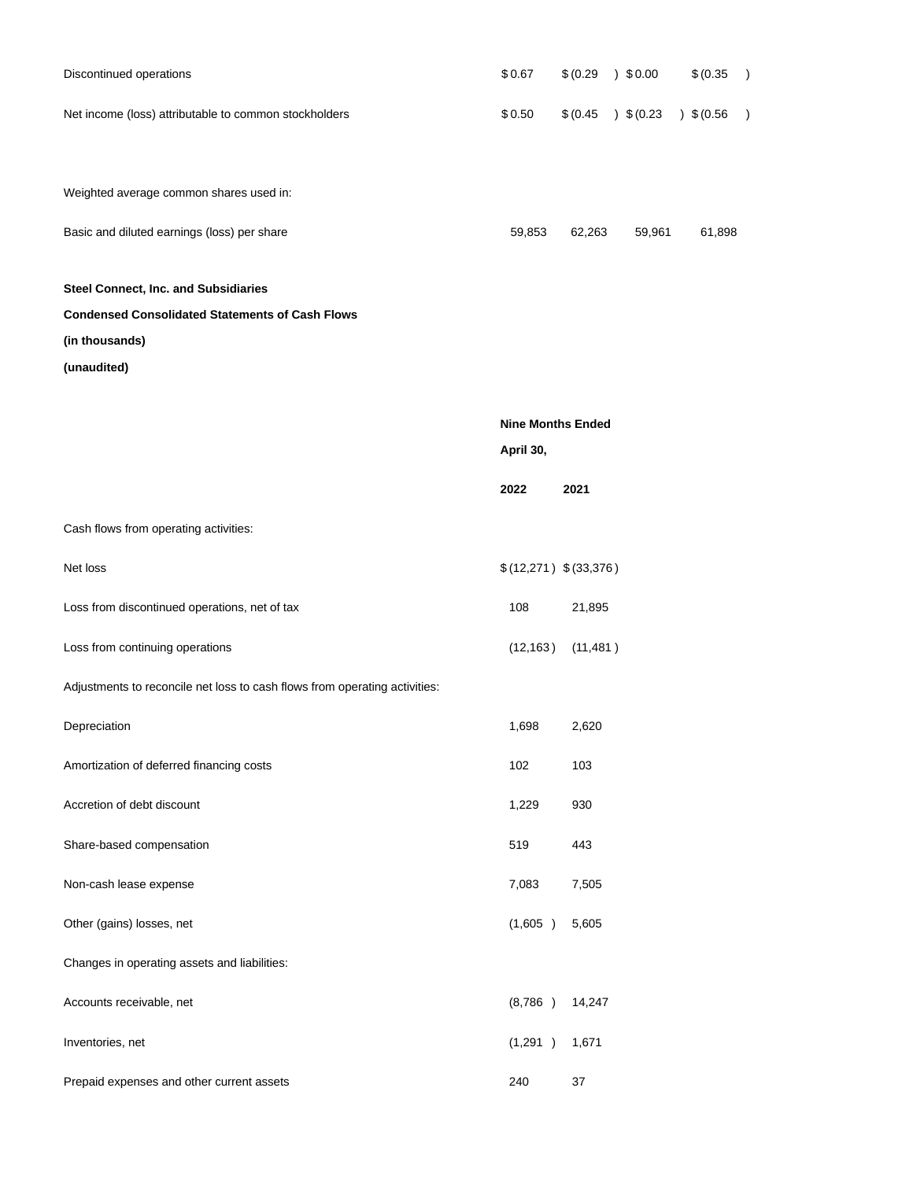| Discontinued operations                                                    | \$0.67                   | \$ (0.29) | $)$ \$0.00 | \$ (0.35) | $\mathcal{E}$ |
|----------------------------------------------------------------------------|--------------------------|-----------|------------|-----------|---------------|
| Net income (loss) attributable to common stockholders                      | \$0.50                   | \$(0.45)  | 3(0.23)    | 3(0.56)   | $\mathcal{E}$ |
|                                                                            |                          |           |            |           |               |
| Weighted average common shares used in:                                    |                          |           |            |           |               |
| Basic and diluted earnings (loss) per share                                | 59,853                   | 62,263    | 59,961     | 61,898    |               |
| Steel Connect, Inc. and Subsidiaries                                       |                          |           |            |           |               |
| <b>Condensed Consolidated Statements of Cash Flows</b>                     |                          |           |            |           |               |
| (in thousands)                                                             |                          |           |            |           |               |
| (unaudited)                                                                |                          |           |            |           |               |
|                                                                            | <b>Nine Months Ended</b> |           |            |           |               |
|                                                                            | April 30,                |           |            |           |               |
|                                                                            | 2022                     | 2021      |            |           |               |
| Cash flows from operating activities:                                      |                          |           |            |           |               |
| Net loss                                                                   | \$(12,271) \$(33,376)    |           |            |           |               |
| Loss from discontinued operations, net of tax                              | 108                      | 21,895    |            |           |               |
| Loss from continuing operations                                            | (12, 163)                | (11, 481) |            |           |               |
| Adjustments to reconcile net loss to cash flows from operating activities: |                          |           |            |           |               |
| Depreciation                                                               | 1,698                    | 2,620     |            |           |               |
| Amortization of deferred financing costs                                   | 102                      | 103       |            |           |               |
| Accretion of debt discount                                                 | 1,229                    | 930       |            |           |               |
| Share-based compensation                                                   | 519                      | 443       |            |           |               |
| Non-cash lease expense                                                     | 7,083                    | 7,505     |            |           |               |
| Other (gains) losses, net                                                  | (1,605)                  | 5,605     |            |           |               |
| Changes in operating assets and liabilities:                               |                          |           |            |           |               |
| Accounts receivable, net                                                   | (8,786)                  | 14,247    |            |           |               |
| Inventories, net                                                           | (1,291)                  | 1,671     |            |           |               |
| Prepaid expenses and other current assets                                  | 240                      | 37        |            |           |               |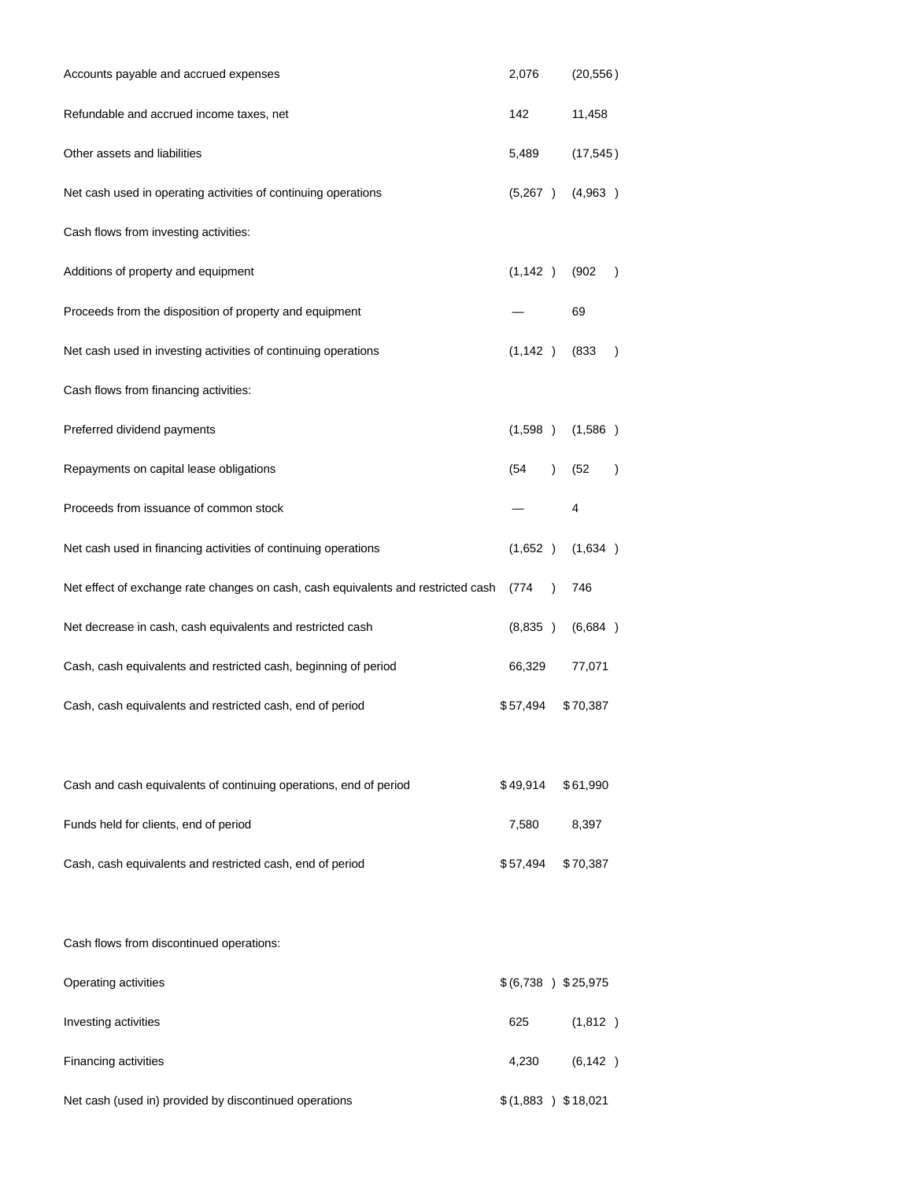| Accounts payable and accrued expenses                                             | 2,076                |               | (20, 556) |           |
|-----------------------------------------------------------------------------------|----------------------|---------------|-----------|-----------|
| Refundable and accrued income taxes, net                                          | 142                  |               | 11,458    |           |
| Other assets and liabilities                                                      | 5,489                |               | (17, 545) |           |
| Net cash used in operating activities of continuing operations                    | (5,267)              |               | (4,963)   |           |
| Cash flows from investing activities:                                             |                      |               |           |           |
| Additions of property and equipment                                               | (1, 142)             |               | (902)     | $\lambda$ |
| Proceeds from the disposition of property and equipment                           |                      |               | 69        |           |
| Net cash used in investing activities of continuing operations                    | (1, 142)             |               | (833)     | $\lambda$ |
| Cash flows from financing activities:                                             |                      |               |           |           |
| Preferred dividend payments                                                       | (1,598)              |               | (1,586)   |           |
| Repayments on capital lease obligations                                           | (54                  | $\mathcal{L}$ | (52)      | $\lambda$ |
| Proceeds from issuance of common stock                                            |                      |               | 4         |           |
| Net cash used in financing activities of continuing operations                    | (1,652)              |               | (1,634)   |           |
| Net effect of exchange rate changes on cash, cash equivalents and restricted cash | (774                 | $\lambda$     | 746       |           |
| Net decrease in cash, cash equivalents and restricted cash                        | (8,835)              |               | (6,684)   |           |
| Cash, cash equivalents and restricted cash, beginning of period                   | 66,329               |               | 77,071    |           |
| Cash, cash equivalents and restricted cash, end of period                         | \$57,494             |               | \$70,387  |           |
| Cash and cash equivalents of continuing operations, end of period                 | \$49,914             |               | \$61,990  |           |
| Funds held for clients, end of period                                             | 7,580                |               | 8,397     |           |
| Cash, cash equivalents and restricted cash, end of period                         | \$57,494             |               | \$70,387  |           |
| Cash flows from discontinued operations:                                          |                      |               |           |           |
| Operating activities                                                              | \$ (6,738 ) \$25,975 |               |           |           |
| Investing activities                                                              | 625                  |               | (1,812)   |           |
| Financing activities                                                              | 4,230                |               | (6, 142)  |           |
| Net cash (used in) provided by discontinued operations                            | \$(1,883) \$18,021   |               |           |           |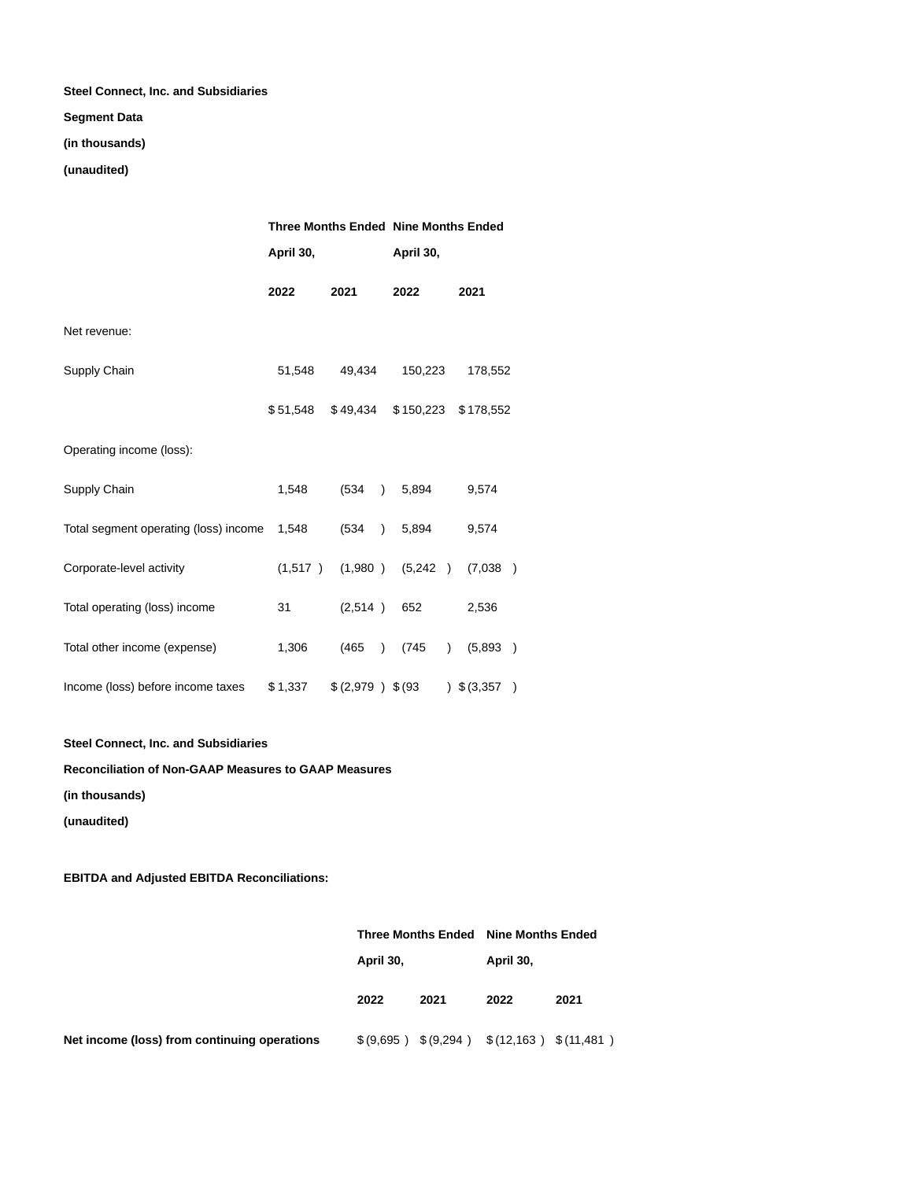## **Steel Connect, Inc. and Subsidiaries**

### **Segment Data**

## **(in thousands)**

## **(unaudited)**

|                                       |              |                    | <b>Three Months Ended Nine Months Ended</b> |                                       |  |  |  |  |
|---------------------------------------|--------------|--------------------|---------------------------------------------|---------------------------------------|--|--|--|--|
|                                       | April 30,    |                    | April 30,                                   |                                       |  |  |  |  |
|                                       | 2022<br>2021 |                    | 2022                                        | 2021                                  |  |  |  |  |
| Net revenue:                          |              |                    |                                             |                                       |  |  |  |  |
| Supply Chain                          | 51,548       | 49,434             | 150,223                                     | 178,552                               |  |  |  |  |
|                                       | \$51,548     | \$49,434           | \$150,223                                   | \$178,552                             |  |  |  |  |
| Operating income (loss):              |              |                    |                                             |                                       |  |  |  |  |
| Supply Chain                          | 1,548        | (534)<br>$\lambda$ | 5,894                                       | 9,574                                 |  |  |  |  |
| Total segment operating (loss) income | 1,548        | (534)<br>$\lambda$ | 5,894                                       | 9,574                                 |  |  |  |  |
| Corporate-level activity              | (1,517)      | (1,980)            | (5,242)                                     | (7,038)<br>$\rightarrow$              |  |  |  |  |
| Total operating (loss) income         | 31           | (2,514)            | 652                                         | 2,536                                 |  |  |  |  |
| Total other income (expense)          | 1,306        | (465)<br>$\lambda$ | (745<br>$\lambda$                           | (5,893)<br>$\lambda$                  |  |  |  |  |
| Income (loss) before income taxes     | \$1,337      | $$(2,979)$ \$(93)  |                                             | $\frac{1}{2}$ \$ (3,357)<br>$\lambda$ |  |  |  |  |

**Steel Connect, Inc. and Subsidiaries**

## **Reconciliation of Non-GAAP Measures to GAAP Measures**

**(in thousands)**

**(unaudited)**

## **EBITDA and Adjusted EBITDA Reconciliations:**

|                                              |           |      | Three Months Ended Nine Months Ended |      |  |  |
|----------------------------------------------|-----------|------|--------------------------------------|------|--|--|
|                                              | April 30, |      | April 30,                            |      |  |  |
|                                              | 2022      | 2021 | 2022                                 | 2021 |  |  |
| Net income (loss) from continuing operations | \$(9,695) |      | $$(9,294)$ $$(12,163)$ $$(11,481)$   |      |  |  |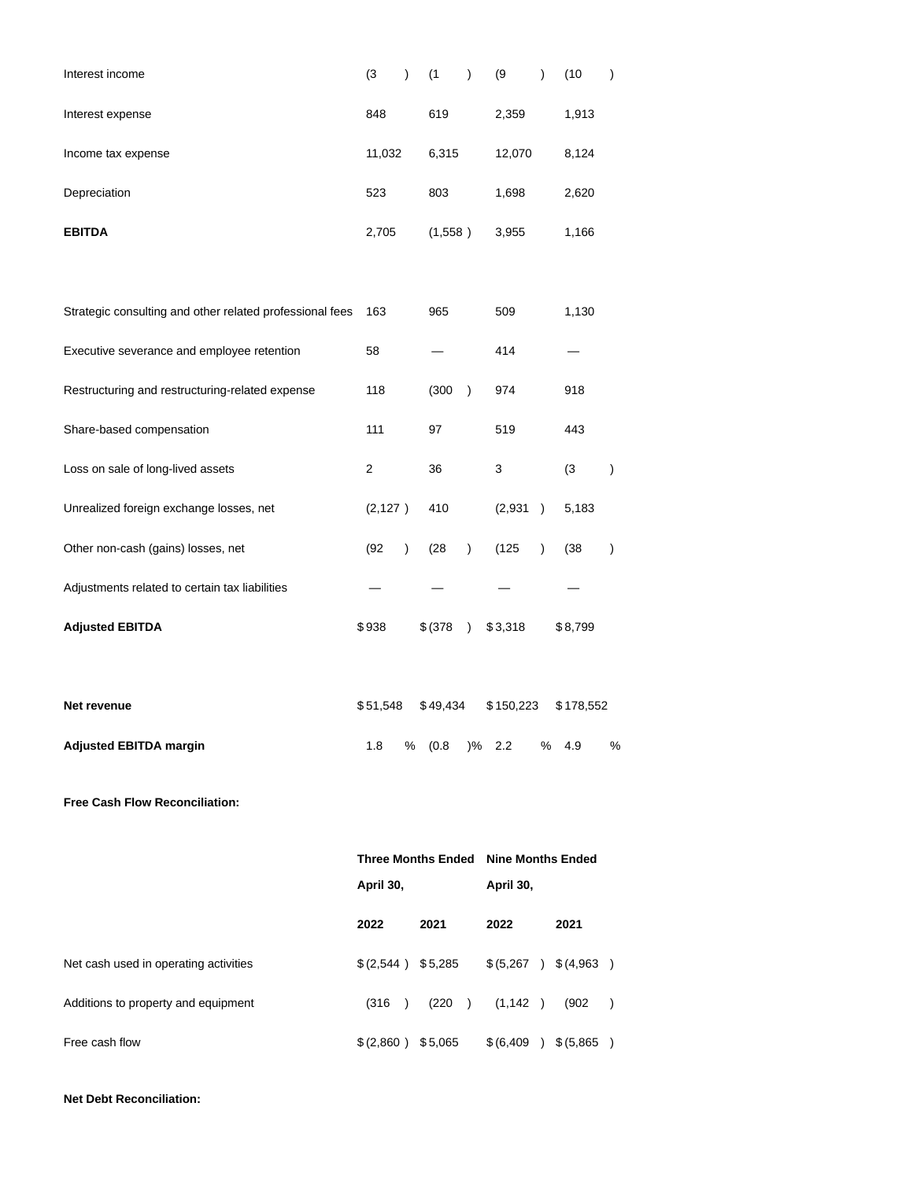| Interest income                                          | (3)                 | $\lambda$ | (1)      |          | $\mathcal{E}$ | (9)                                  | $\mathcal{E}$ | (10)                  | $\lambda$              |
|----------------------------------------------------------|---------------------|-----------|----------|----------|---------------|--------------------------------------|---------------|-----------------------|------------------------|
| Interest expense                                         | 848                 |           | 619      |          |               | 2,359                                |               | 1,913                 |                        |
| Income tax expense                                       | 11,032              |           |          | 6,315    |               | 12,070                               |               | 8,124                 |                        |
| Depreciation                                             | 523                 |           | 803      |          |               | 1,698                                |               | 2,620                 |                        |
| <b>EBITDA</b>                                            | 2,705               |           |          | (1,558)  |               | 3,955                                |               | 1,166                 |                        |
|                                                          |                     |           |          |          |               |                                      |               |                       |                        |
| Strategic consulting and other related professional fees | 163                 |           | 965      |          |               | 509                                  |               | 1,130                 |                        |
| Executive severance and employee retention               | 58                  |           |          |          |               | 414                                  |               |                       |                        |
| Restructuring and restructuring-related expense          | 118                 |           |          | (300)    | $\mathcal{E}$ | 974                                  |               | 918                   |                        |
| Share-based compensation                                 | 111                 |           | 97       |          |               | 519                                  |               | 443                   |                        |
| Loss on sale of long-lived assets                        | 2                   |           | 36       |          |               | 3                                    |               | (3)                   | $\mathcal{C}^{\prime}$ |
| Unrealized foreign exchange losses, net                  | (2, 127)            |           | 410      |          |               | (2,931)                              | $\lambda$     | 5,183                 |                        |
| Other non-cash (gains) losses, net                       | (92)                | $\lambda$ | (28)     |          | $\mathcal{E}$ | (125)                                | $\lambda$     | (38)                  | $\mathcal{E}$          |
| Adjustments related to certain tax liabilities           |                     |           |          |          |               |                                      |               |                       |                        |
| <b>Adjusted EBITDA</b>                                   | \$938               |           | \$ (378) |          | $\lambda$     | \$3,318                              |               | \$8,799               |                        |
|                                                          |                     |           |          |          |               |                                      |               |                       |                        |
| Net revenue                                              | \$51,548            |           |          | \$49,434 |               | \$150,223                            |               | \$178,552             |                        |
| <b>Adjusted EBITDA margin</b>                            | 1.8                 |           | % (0.8   |          |               | $\frac{9}{6}$ 2.2                    |               | % 4.9                 | %                      |
| Free Cash Flow Reconciliation:                           |                     |           |          |          |               |                                      |               |                       |                        |
|                                                          |                     |           |          |          |               | Three Months Ended Nine Months Ended |               |                       |                        |
|                                                          |                     | April 30, |          |          | April 30,     |                                      |               |                       |                        |
|                                                          | 2022                |           | 2021     |          |               | 2022                                 |               | 2021                  |                        |
| Net cash used in operating activities                    | $$(2,544)$ \$5,285  |           |          |          |               |                                      |               | $$(5,267)$ $$(4,963)$ |                        |
| Additions to property and equipment                      | (316)               |           | (220)    |          |               | (1, 142)                             |               | (902)                 | $\rightarrow$          |
| Free cash flow                                           | $$(2,860)$ $$5,065$ |           |          |          |               |                                      |               |                       |                        |

**Net Debt Reconciliation:**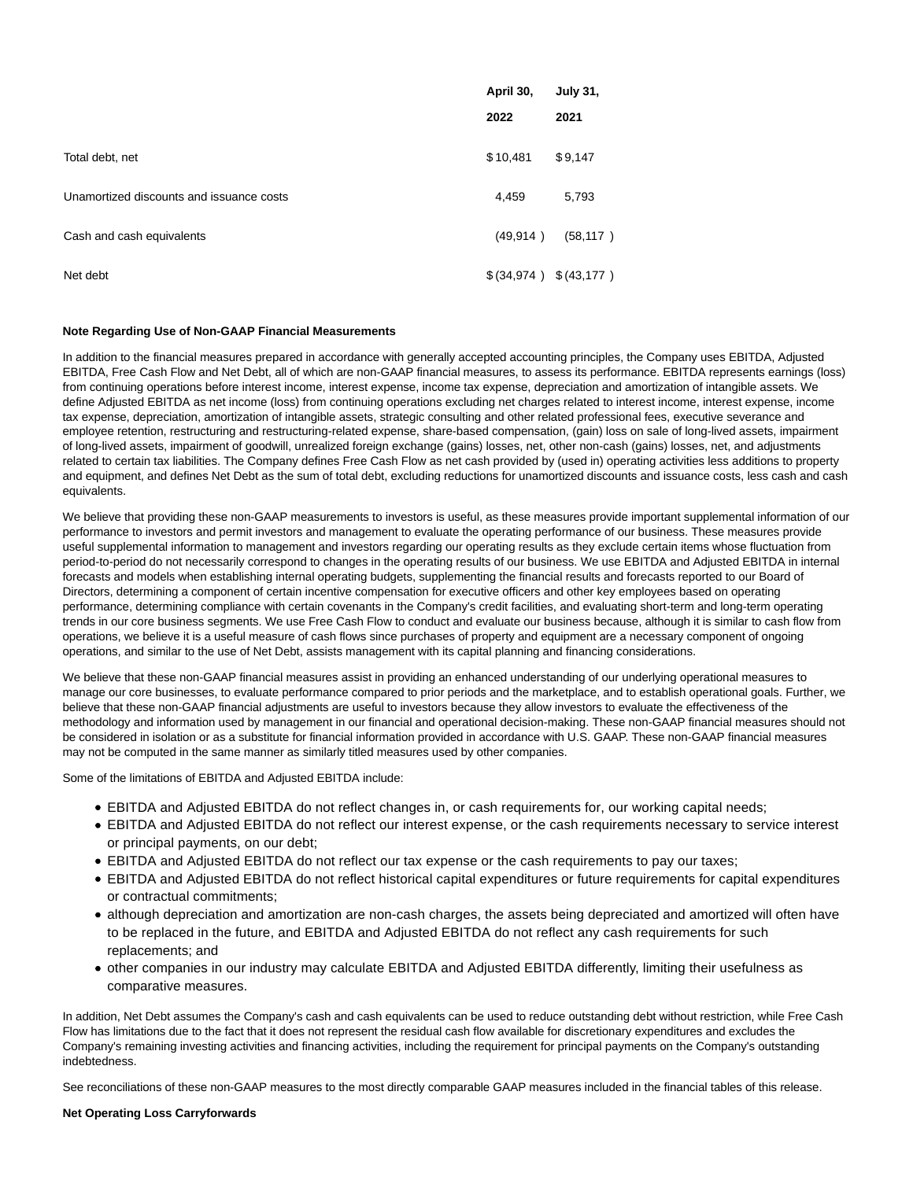|                                          | April 30,<br>2022       | <b>July 31,</b><br>2021 |
|------------------------------------------|-------------------------|-------------------------|
| Total debt, net                          | \$10,481                | \$9,147                 |
| Unamortized discounts and issuance costs | 4,459                   | 5,793                   |
| Cash and cash equivalents                | (49, 914)               | (58, 117)               |
| Net debt                                 | $$(34,974)$ $$(43,177)$ |                         |

#### **Note Regarding Use of Non-GAAP Financial Measurements**

In addition to the financial measures prepared in accordance with generally accepted accounting principles, the Company uses EBITDA, Adjusted EBITDA, Free Cash Flow and Net Debt, all of which are non-GAAP financial measures, to assess its performance. EBITDA represents earnings (loss) from continuing operations before interest income, interest expense, income tax expense, depreciation and amortization of intangible assets. We define Adjusted EBITDA as net income (loss) from continuing operations excluding net charges related to interest income, interest expense, income tax expense, depreciation, amortization of intangible assets, strategic consulting and other related professional fees, executive severance and employee retention, restructuring and restructuring-related expense, share-based compensation, (gain) loss on sale of long-lived assets, impairment of long-lived assets, impairment of goodwill, unrealized foreign exchange (gains) losses, net, other non-cash (gains) losses, net, and adjustments related to certain tax liabilities. The Company defines Free Cash Flow as net cash provided by (used in) operating activities less additions to property and equipment, and defines Net Debt as the sum of total debt, excluding reductions for unamortized discounts and issuance costs, less cash and cash equivalents.

We believe that providing these non-GAAP measurements to investors is useful, as these measures provide important supplemental information of our performance to investors and permit investors and management to evaluate the operating performance of our business. These measures provide useful supplemental information to management and investors regarding our operating results as they exclude certain items whose fluctuation from period-to-period do not necessarily correspond to changes in the operating results of our business. We use EBITDA and Adjusted EBITDA in internal forecasts and models when establishing internal operating budgets, supplementing the financial results and forecasts reported to our Board of Directors, determining a component of certain incentive compensation for executive officers and other key employees based on operating performance, determining compliance with certain covenants in the Company's credit facilities, and evaluating short-term and long-term operating trends in our core business segments. We use Free Cash Flow to conduct and evaluate our business because, although it is similar to cash flow from operations, we believe it is a useful measure of cash flows since purchases of property and equipment are a necessary component of ongoing operations, and similar to the use of Net Debt, assists management with its capital planning and financing considerations.

We believe that these non-GAAP financial measures assist in providing an enhanced understanding of our underlying operational measures to manage our core businesses, to evaluate performance compared to prior periods and the marketplace, and to establish operational goals. Further, we believe that these non-GAAP financial adjustments are useful to investors because they allow investors to evaluate the effectiveness of the methodology and information used by management in our financial and operational decision-making. These non-GAAP financial measures should not be considered in isolation or as a substitute for financial information provided in accordance with U.S. GAAP. These non-GAAP financial measures may not be computed in the same manner as similarly titled measures used by other companies.

Some of the limitations of EBITDA and Adjusted EBITDA include:

- EBITDA and Adjusted EBITDA do not reflect changes in, or cash requirements for, our working capital needs;
- EBITDA and Adjusted EBITDA do not reflect our interest expense, or the cash requirements necessary to service interest or principal payments, on our debt;
- EBITDA and Adjusted EBITDA do not reflect our tax expense or the cash requirements to pay our taxes;
- EBITDA and Adjusted EBITDA do not reflect historical capital expenditures or future requirements for capital expenditures or contractual commitments;
- although depreciation and amortization are non-cash charges, the assets being depreciated and amortized will often have to be replaced in the future, and EBITDA and Adjusted EBITDA do not reflect any cash requirements for such replacements; and
- other companies in our industry may calculate EBITDA and Adjusted EBITDA differently, limiting their usefulness as comparative measures.

In addition, Net Debt assumes the Company's cash and cash equivalents can be used to reduce outstanding debt without restriction, while Free Cash Flow has limitations due to the fact that it does not represent the residual cash flow available for discretionary expenditures and excludes the Company's remaining investing activities and financing activities, including the requirement for principal payments on the Company's outstanding indebtedness.

See reconciliations of these non-GAAP measures to the most directly comparable GAAP measures included in the financial tables of this release.

### **Net Operating Loss Carryforwards**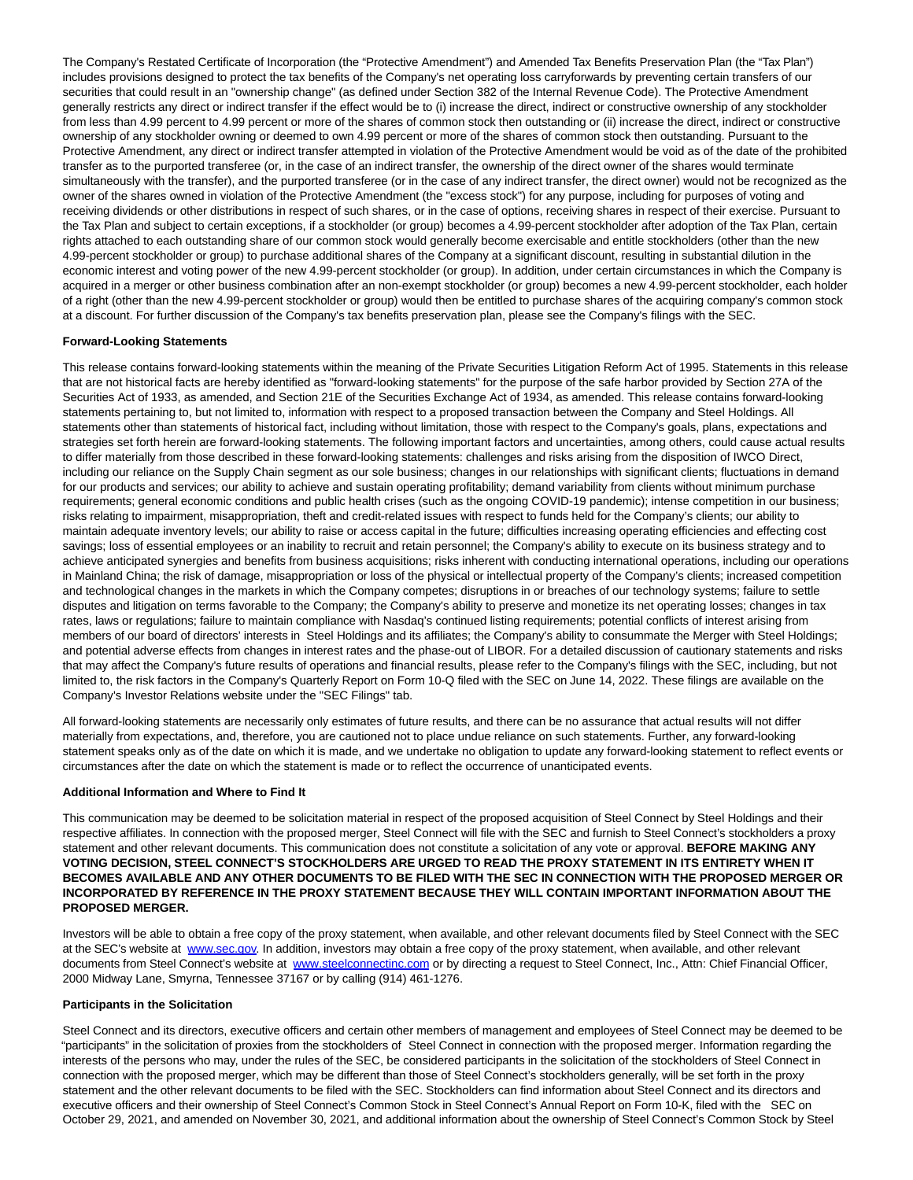The Company's Restated Certificate of Incorporation (the "Protective Amendment") and Amended Tax Benefits Preservation Plan (the "Tax Plan") includes provisions designed to protect the tax benefits of the Company's net operating loss carryforwards by preventing certain transfers of our securities that could result in an "ownership change" (as defined under Section 382 of the Internal Revenue Code). The Protective Amendment generally restricts any direct or indirect transfer if the effect would be to (i) increase the direct, indirect or constructive ownership of any stockholder from less than 4.99 percent to 4.99 percent or more of the shares of common stock then outstanding or (ii) increase the direct, indirect or constructive ownership of any stockholder owning or deemed to own 4.99 percent or more of the shares of common stock then outstanding. Pursuant to the Protective Amendment, any direct or indirect transfer attempted in violation of the Protective Amendment would be void as of the date of the prohibited transfer as to the purported transferee (or, in the case of an indirect transfer, the ownership of the direct owner of the shares would terminate simultaneously with the transfer), and the purported transferee (or in the case of any indirect transfer, the direct owner) would not be recognized as the owner of the shares owned in violation of the Protective Amendment (the "excess stock") for any purpose, including for purposes of voting and receiving dividends or other distributions in respect of such shares, or in the case of options, receiving shares in respect of their exercise. Pursuant to the Tax Plan and subject to certain exceptions, if a stockholder (or group) becomes a 4.99-percent stockholder after adoption of the Tax Plan, certain rights attached to each outstanding share of our common stock would generally become exercisable and entitle stockholders (other than the new 4.99-percent stockholder or group) to purchase additional shares of the Company at a significant discount, resulting in substantial dilution in the economic interest and voting power of the new 4.99-percent stockholder (or group). In addition, under certain circumstances in which the Company is acquired in a merger or other business combination after an non-exempt stockholder (or group) becomes a new 4.99-percent stockholder, each holder of a right (other than the new 4.99-percent stockholder or group) would then be entitled to purchase shares of the acquiring company's common stock at a discount. For further discussion of the Company's tax benefits preservation plan, please see the Company's filings with the SEC.

### **Forward-Looking Statements**

This release contains forward-looking statements within the meaning of the Private Securities Litigation Reform Act of 1995. Statements in this release that are not historical facts are hereby identified as "forward-looking statements" for the purpose of the safe harbor provided by Section 27A of the Securities Act of 1933, as amended, and Section 21E of the Securities Exchange Act of 1934, as amended. This release contains forward-looking statements pertaining to, but not limited to, information with respect to a proposed transaction between the Company and Steel Holdings. All statements other than statements of historical fact, including without limitation, those with respect to the Company's goals, plans, expectations and strategies set forth herein are forward-looking statements. The following important factors and uncertainties, among others, could cause actual results to differ materially from those described in these forward-looking statements: challenges and risks arising from the disposition of IWCO Direct, including our reliance on the Supply Chain segment as our sole business; changes in our relationships with significant clients; fluctuations in demand for our products and services; our ability to achieve and sustain operating profitability; demand variability from clients without minimum purchase requirements; general economic conditions and public health crises (such as the ongoing COVID-19 pandemic); intense competition in our business; risks relating to impairment, misappropriation, theft and credit-related issues with respect to funds held for the Company's clients; our ability to maintain adequate inventory levels; our ability to raise or access capital in the future; difficulties increasing operating efficiencies and effecting cost savings; loss of essential employees or an inability to recruit and retain personnel; the Company's ability to execute on its business strategy and to achieve anticipated synergies and benefits from business acquisitions; risks inherent with conducting international operations, including our operations in Mainland China; the risk of damage, misappropriation or loss of the physical or intellectual property of the Company's clients; increased competition and technological changes in the markets in which the Company competes; disruptions in or breaches of our technology systems; failure to settle disputes and litigation on terms favorable to the Company; the Company's ability to preserve and monetize its net operating losses; changes in tax rates, laws or regulations; failure to maintain compliance with Nasdaq's continued listing requirements; potential conflicts of interest arising from members of our board of directors' interests in Steel Holdings and its affiliates; the Company's ability to consummate the Merger with Steel Holdings; and potential adverse effects from changes in interest rates and the phase-out of LIBOR. For a detailed discussion of cautionary statements and risks that may affect the Company's future results of operations and financial results, please refer to the Company's filings with the SEC, including, but not limited to, the risk factors in the Company's Quarterly Report on Form 10-Q filed with the SEC on June 14, 2022. These filings are available on the Company's Investor Relations website under the "SEC Filings" tab.

All forward-looking statements are necessarily only estimates of future results, and there can be no assurance that actual results will not differ materially from expectations, and, therefore, you are cautioned not to place undue reliance on such statements. Further, any forward-looking statement speaks only as of the date on which it is made, and we undertake no obligation to update any forward-looking statement to reflect events or circumstances after the date on which the statement is made or to reflect the occurrence of unanticipated events.

#### **Additional Information and Where to Find It**

This communication may be deemed to be solicitation material in respect of the proposed acquisition of Steel Connect by Steel Holdings and their respective affiliates. In connection with the proposed merger, Steel Connect will file with the SEC and furnish to Steel Connect's stockholders a proxy statement and other relevant documents. This communication does not constitute a solicitation of any vote or approval. **BEFORE MAKING ANY VOTING DECISION, STEEL CONNECT'S STOCKHOLDERS ARE URGED TO READ THE PROXY STATEMENT IN ITS ENTIRETY WHEN IT BECOMES AVAILABLE AND ANY OTHER DOCUMENTS TO BE FILED WITH THE SEC IN CONNECTION WITH THE PROPOSED MERGER OR INCORPORATED BY REFERENCE IN THE PROXY STATEMENT BECAUSE THEY WILL CONTAIN IMPORTANT INFORMATION ABOUT THE PROPOSED MERGER.**

Investors will be able to obtain a free copy of the proxy statement, when available, and other relevant documents filed by Steel Connect with the SEC at the SEC's website at [www.sec.gov.](https://cts.businesswire.com/ct/CT?id=smartlink&url=http%3A%2F%2Fwww.sec.gov&esheet=52748600&newsitemid=20220613005822&lan=en-US&anchor=www.sec.gov&index=1&md5=9248a34378a1719da779b7a4d0ee925c) In addition, investors may obtain a free copy of the proxy statement, when available, and other relevant documents from Steel Connect's website at [www.steelconnectinc.com o](https://cts.businesswire.com/ct/CT?id=smartlink&url=http%3A%2F%2Fwww.steelconnectinc.com&esheet=52748600&newsitemid=20220613005822&lan=en-US&anchor=www.steelconnectinc.com&index=2&md5=68e5dc9f10d897306674af17cf447e40)r by directing a request to Steel Connect, Inc., Attn: Chief Financial Officer, 2000 Midway Lane, Smyrna, Tennessee 37167 or by calling (914) 461-1276.

#### **Participants in the Solicitation**

Steel Connect and its directors, executive officers and certain other members of management and employees of Steel Connect may be deemed to be "participants" in the solicitation of proxies from the stockholders of Steel Connect in connection with the proposed merger. Information regarding the interests of the persons who may, under the rules of the SEC, be considered participants in the solicitation of the stockholders of Steel Connect in connection with the proposed merger, which may be different than those of Steel Connect's stockholders generally, will be set forth in the proxy statement and the other relevant documents to be filed with the SEC. Stockholders can find information about Steel Connect and its directors and executive officers and their ownership of Steel Connect's Common Stock in Steel Connect's Annual Report on Form 10-K, filed with the SEC on October 29, 2021, and amended on November 30, 2021, and additional information about the ownership of Steel Connect's Common Stock by Steel